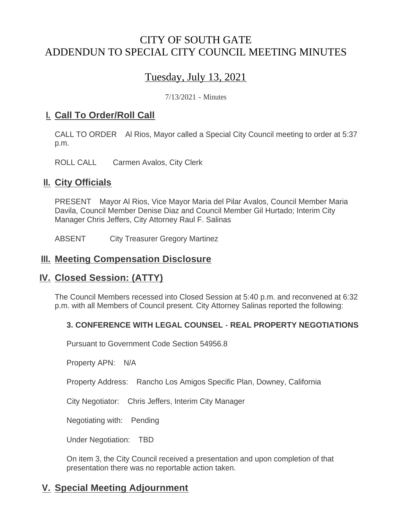## CITY OF SOUTH GATE ADDENDUN TO SPECIAL CITY COUNCIL MEETING MINUTES

# Tuesday, July 13, 2021

7/13/2021 - Minutes

### <u>**I. Call To Order/Roll Call**</u>

CALL TO ORDER Al Rios, Mayor called a Special City Council meeting to order at 5:37 p.m.

ROLL CALL Carmen Avalos, City Clerk

#### **II.** City Officials

PRESENT Mayor Al Rios, Vice Mayor Maria del Pilar Avalos, Council Member Maria Davila, Council Member Denise Diaz and Council Member Gil Hurtado; Interim City Manager Chris Jeffers, City Attorney Raul F. Salinas

ABSENT City Treasurer Gregory Martinez

#### **Meeting Compensation Disclosure III.**

#### **Closed Session: (ATTY) IV.**

The Council Members recessed into Closed Session at 5:40 p.m. and reconvened at 6:32 p.m. with all Members of Council present. City Attorney Salinas reported the following:

#### **3. CONFERENCE WITH LEGAL COUNSEL - REAL PROPERTY NEGOTIATIONS**

Pursuant to Government Code Section 54956.8

Property APN: N/A

Property Address: Rancho Los Amigos Specific Plan, Downey, California

City Negotiator: Chris Jeffers, Interim City Manager

Negotiating with: Pending

Under Negotiation: TBD

On item 3, the City Council received a presentation and upon completion of that presentation there was no reportable action taken.

## **Special Meeting Adjournment V.**